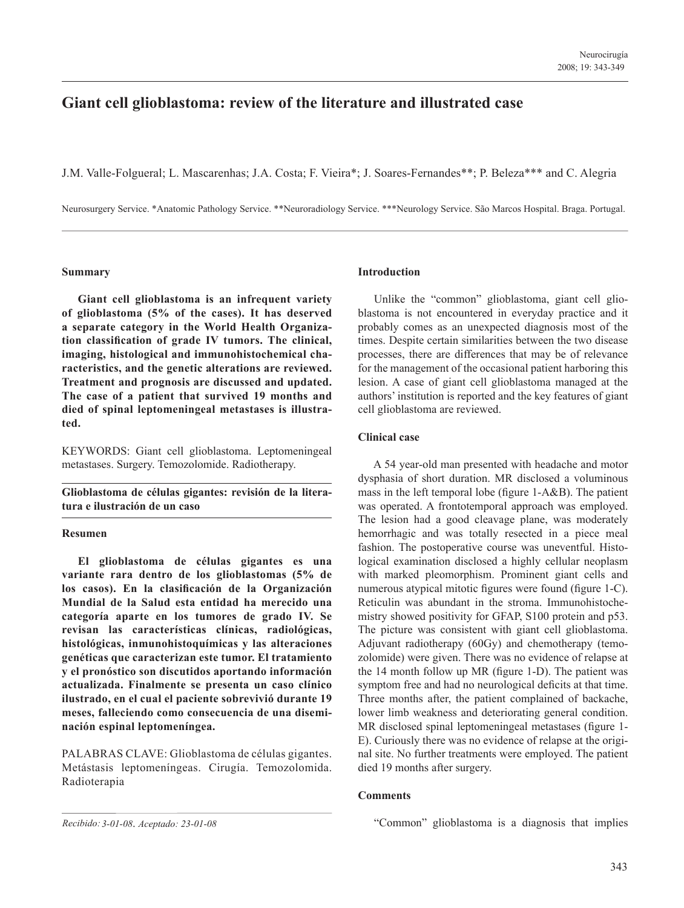# **Giant cell glioblastoma: review of the literature and illustrated case**

J.M. Valle-Folgueral; L. Mascarenhas; J.A. Costa; F. Vieira\*; J. Soares-Fernandes\*\*; P. Beleza\*\*\* and C. Alegria

Neurosurgery Service. \*Anatomic Pathology Service. \*\*Neuroradiology Service. \*\*\*Neurology Service. São Marcos Hospital. Braga. Portugal.

# **Summary**

 **Giant cell glioblastoma is an infrequent variety of glioblastoma (5% of the cases). It has deserved a separate category in the World Health Organization classification of grade IV tumors. The clinical, imaging, histological and immunohistochemical characteristics, and the genetic alterations are reviewed. Treatment and prognosis are discussed and updated. The case of a patient that survived 19 months and died of spinal leptomeningeal metastases is illustrated.**

KEYWORDS: Giant cell glioblastoma. Leptomeningeal metastases. Surgery. Temozolomide. Radiotherapy.

**Glioblastoma de células gigantes: revisión de la literatura e ilustración de un caso**

# **Resumen**

 **El glioblastoma de células gigantes es una variante rara dentro de los glioblastomas (5% de los casos). En la clasificación de la Organización Mundial de la Salud esta entidad ha merecido una categoría aparte en los tumores de grado IV. Se revisan las características clínicas, radiológicas, histológicas, inmunohistoquímicas y las alteraciones genéticas que caracterizan este tumor. El tratamiento y el pronóstico son discutidos aportando información actualizada. Finalmente se presenta un caso clínico ilustrado, en el cual el paciente sobrevivió durante 19 meses, falleciendo como consecuencia de una diseminación espinal leptomeníngea.**

PALABRAS CLAVE: Glioblastoma de células gigantes. Metástasis leptomeníngeas. Cirugía. Temozolomida. Radioterapia

# **Introduction**

 Unlike the "common" glioblastoma, giant cell glioblastoma is not encountered in everyday practice and it probably comes as an unexpected diagnosis most of the times. Despite certain similarities between the two disease processes, there are differences that may be of relevance for the management of the occasional patient harboring this lesion. A case of giant cell glioblastoma managed at the authors' institution is reported and the key features of giant cell glioblastoma are reviewed.

# **Clinical case**

 A 54 year-old man presented with headache and motor dysphasia of short duration. MR disclosed a voluminous mass in the left temporal lobe (figure 1-A&B). The patient was operated. A frontotemporal approach was employed. The lesion had a good cleavage plane, was moderately hemorrhagic and was totally resected in a piece meal fashion. The postoperative course was uneventful. Histological examination disclosed a highly cellular neoplasm with marked pleomorphism. Prominent giant cells and numerous atypical mitotic figures were found (figure 1-C). Reticulin was abundant in the stroma. Immunohistochemistry showed positivity for GFAP, S100 protein and p53. The picture was consistent with giant cell glioblastoma. Adjuvant radiotherapy (60Gy) and chemotherapy (temozolomide) were given. There was no evidence of relapse at the 14 month follow up MR (figure 1-D). The patient was symptom free and had no neurological deficits at that time. Three months after, the patient complained of backache, lower limb weakness and deteriorating general condition. MR disclosed spinal leptomeningeal metastases (figure 1- E). Curiously there was no evidence of relapse at the original site. No further treatments were employed. The patient died 19 months after surgery.

# **Comments**

"Common" glioblastoma is a diagnosis that implies

*Recibido: 3-01-08*. *Aceptado: 23-01-08*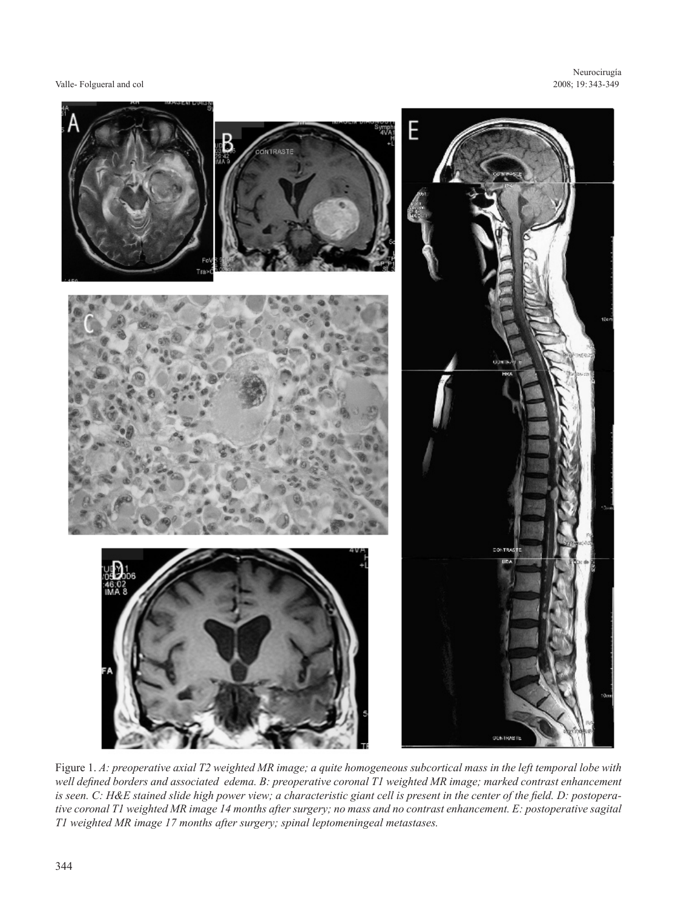#### Valle- Folgueral and col

Neurocirugía 2008; 19:343-349 343-349 2008 19:00 19:00 19:00 19:00 19:00 19:00 19:00 19:00 19:00 19:00 19:00 19:00 19:00 19:00 19:00 19:00 1



Figure 1. *A: preoperative axial T2 weighted MR image; a quite homogeneous subcortical mass in the left temporal lobe with well defined borders and associated edema. B: preoperative coronal T1 weighted MR image; marked contrast enhancement is seen. C: H&E stained slide high power view; a characteristic giant cell is present in the center of the field. D: postoperative coronal T1 weighted MR image 14 months after surgery; no mass and no contrast enhancement. E: postoperative sagital T1 weighted MR image 17 months after surgery; spinal leptomeningeal metastases.*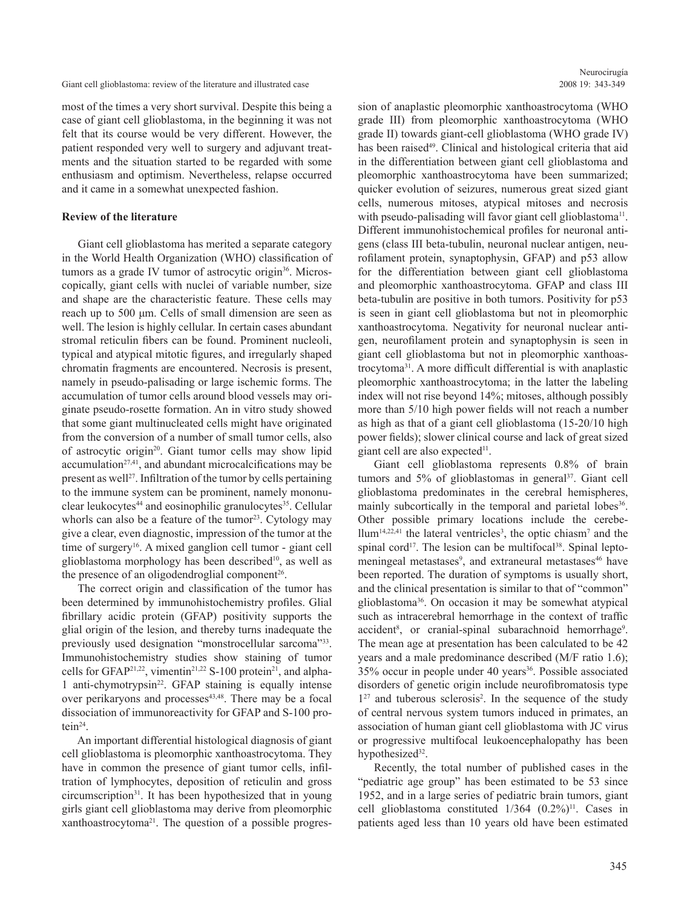Giant cell glioblastoma: review of the literature and illustrated case 2008 19: 343-349

most of the times a very short survival. Despite this being a case of giant cell glioblastoma, in the beginning it was not felt that its course would be very different. However, the patient responded very well to surgery and adjuvant treatments and the situation started to be regarded with some enthusiasm and optimism. Nevertheless, relapse occurred and it came in a somewhat unexpected fashion.

#### **Review of the literature**

 Giant cell glioblastoma has merited a separate category in the World Health Organization (WHO) classification of tumors as a grade IV tumor of astrocytic origin<sup>36</sup>. Microscopically, giant cells with nuclei of variable number, size and shape are the characteristic feature. These cells may reach up to 500 μm. Cells of small dimension are seen as well. The lesion is highly cellular. In certain cases abundant stromal reticulin fibers can be found. Prominent nucleoli, typical and atypical mitotic figures, and irregularly shaped chromatin fragments are encountered. Necrosis is present, namely in pseudo-palisading or large ischemic forms. The accumulation of tumor cells around blood vessels may originate pseudo-rosette formation. An in vitro study showed that some giant multinucleated cells might have originated from the conversion of a number of small tumor cells, also of astrocytic origin20. Giant tumor cells may show lipid  $accumulation<sup>27,41</sup>$ , and abundant microcalcifications may be present as well<sup>27</sup>. Infiltration of the tumor by cells pertaining to the immune system can be prominent, namely mononuclear leukocytes $44$  and eosinophilic granulocytes $35$ . Cellular whorls can also be a feature of the tumor<sup>23</sup>. Cytology may give a clear, even diagnostic, impression of the tumor at the time of surgery<sup>16</sup>. A mixed ganglion cell tumor - giant cell glioblastoma morphology has been described $10$ , as well as the presence of an oligodendroglial component<sup>26</sup>.

 The correct origin and classification of the tumor has been determined by immunohistochemistry profiles. Glial fibrillary acidic protein (GFAP) positivity supports the glial origin of the lesion, and thereby turns inadequate the previously used designation "monstrocellular sarcoma"33. Immunohistochemistry studies show staining of tumor cells for GFAP<sup>21,22</sup>, vimentin<sup>21,22</sup> S-100 protein<sup>21</sup>, and alpha-1 anti-chymotrypsin<sup>22</sup>. GFAP staining is equally intense over perikaryons and processes $43,48$ . There may be a focal dissociation of immunoreactivity for GFAP and S-100 protein<sup>24</sup>.

 An important differential histological diagnosis of giant cell glioblastoma is pleomorphic xanthoastrocytoma. They have in common the presence of giant tumor cells, infiltration of lymphocytes, deposition of reticulin and gross circumscription<sup>31</sup>. It has been hypothesized that in young girls giant cell glioblastoma may derive from pleomorphic xanthoastrocytoma21. The question of a possible progression of anaplastic pleomorphic xanthoastrocytoma (WHO grade III) from pleomorphic xanthoastrocytoma (WHO grade II) towards giant-cell glioblastoma (WHO grade IV) has been raised<sup>49</sup>. Clinical and histological criteria that aid in the differentiation between giant cell glioblastoma and pleomorphic xanthoastrocytoma have been summarized; quicker evolution of seizures, numerous great sized giant cells, numerous mitoses, atypical mitoses and necrosis with pseudo-palisading will favor giant cell glioblastoma<sup>11</sup>. Different immunohistochemical profiles for neuronal antigens (class III beta-tubulin, neuronal nuclear antigen, neurofilament protein, synaptophysin, GFAP) and p53 allow for the differentiation between giant cell glioblastoma and pleomorphic xanthoastrocytoma. GFAP and class III beta-tubulin are positive in both tumors. Positivity for p53 is seen in giant cell glioblastoma but not in pleomorphic xanthoastrocytoma. Negativity for neuronal nuclear antigen, neurofilament protein and synaptophysin is seen in giant cell glioblastoma but not in pleomorphic xanthoastrocytoma31. A more difficult differential is with anaplastic pleomorphic xanthoastrocytoma; in the latter the labeling index will not rise beyond 14%; mitoses, although possibly more than 5/10 high power fields will not reach a number as high as that of a giant cell glioblastoma (15-20/10 high power fields); slower clinical course and lack of great sized giant cell are also expected $11$ .

 Giant cell glioblastoma represents 0.8% of brain tumors and  $5\%$  of glioblastomas in general<sup>37</sup>. Giant cell glioblastoma predominates in the cerebral hemispheres, mainly subcortically in the temporal and parietal lobes<sup>36</sup>. Other possible primary locations include the cerebe- $Ilum<sup>14,22,41</sup>$  the lateral ventricles<sup>3</sup>, the optic chiasm<sup>7</sup> and the spinal cord<sup>17</sup>. The lesion can be multifocal<sup>38</sup>. Spinal leptomeningeal metastases<sup>9</sup>, and extraneural metastases<sup>46</sup> have been reported. The duration of symptoms is usually short, and the clinical presentation is similar to that of "common" glioblastoma36. On occasion it may be somewhat atypical such as intracerebral hemorrhage in the context of traffic accident<sup>8</sup>, or cranial-spinal subarachnoid hemorrhage<sup>9</sup>. The mean age at presentation has been calculated to be 42 years and a male predominance described (M/F ratio 1.6);  $35\%$  occur in people under 40 years<sup>36</sup>. Possible associated disorders of genetic origin include neurofibromatosis type  $1<sup>27</sup>$  and tuberous sclerosis<sup>2</sup>. In the sequence of the study of central nervous system tumors induced in primates, an association of human giant cell glioblastoma with JC virus or progressive multifocal leukoencephalopathy has been hypothesized<sup>32</sup>.

 Recently, the total number of published cases in the "pediatric age group" has been estimated to be 53 since 1952, and in a large series of pediatric brain tumors, giant cell glioblastoma constituted  $1/364$   $(0.2\%)$ <sup>11</sup>. Cases in patients aged less than 10 years old have been estimated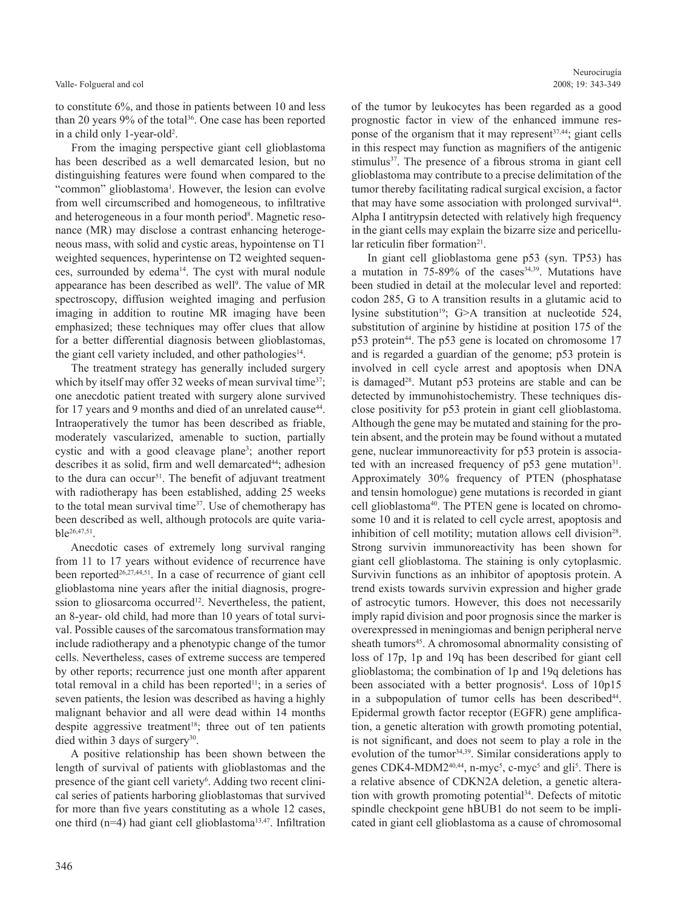#### Valle- Folgueral and col

to constitute 6%, and those in patients between 10 and less than 20 years  $9\%$  of the total<sup>36</sup>. One case has been reported in a child only 1-year-old<sup>2</sup>.

 From the imaging perspective giant cell glioblastoma has been described as a well demarcated lesion, but no distinguishing features were found when compared to the "common" glioblastoma<sup>1</sup>. However, the lesion can evolve from well circumscribed and homogeneous, to infiltrative and heterogeneous in a four month period<sup>8</sup>. Magnetic resonance (MR) may disclose a contrast enhancing heterogeneous mass, with solid and cystic areas, hypointense on T1 weighted sequences, hyperintense on T2 weighted sequences, surrounded by edema<sup>14</sup>. The cyst with mural nodule appearance has been described as well<sup>9</sup>. The value of MR spectroscopy, diffusion weighted imaging and perfusion imaging in addition to routine MR imaging have been emphasized; these techniques may offer clues that allow for a better differential diagnosis between glioblastomas, the giant cell variety included, and other pathologies<sup>14</sup>.

 The treatment strategy has generally included surgery which by itself may offer 32 weeks of mean survival time<sup>37</sup>; one anecdotic patient treated with surgery alone survived for 17 years and 9 months and died of an unrelated cause<sup>44</sup>. Intraoperatively the tumor has been described as friable, moderately vascularized, amenable to suction, partially cystic and with a good cleavage plane<sup>3</sup>; another report describes it as solid, firm and well demarcated<sup>44</sup>; adhesion to the dura can occur<sup>51</sup>. The benefit of adjuvant treatment with radiotherapy has been established, adding 25 weeks to the total mean survival time<sup>37</sup>. Use of chemotherapy has been described as well, although protocols are quite variable26,47,51.

 Anecdotic cases of extremely long survival ranging from 11 to 17 years without evidence of recurrence have been reported<sup>26,27,44,51</sup>. In a case of recurrence of giant cell glioblastoma nine years after the initial diagnosis, progression to gliosarcoma occurred<sup>12</sup>. Nevertheless, the patient, an 8-year- old child, had more than 10 years of total survival. Possible causes of the sarcomatous transformation may include radiotherapy and a phenotypic change of the tumor cells. Nevertheless, cases of extreme success are tempered by other reports; recurrence just one month after apparent total removal in a child has been reported $11$ ; in a series of seven patients, the lesion was described as having a highly malignant behavior and all were dead within 14 months despite aggressive treatment<sup>18</sup>; three out of ten patients died within 3 days of surgery $30$ .

 A positive relationship has been shown between the length of survival of patients with glioblastomas and the presence of the giant cell variety<sup>6</sup>. Adding two recent clinical series of patients harboring glioblastomas that survived for more than five years constituting as a whole 12 cases, one third ( $n=4$ ) had giant cell glioblastoma<sup>13,47</sup>. Infiltration of the tumor by leukocytes has been regarded as a good prognostic factor in view of the enhanced immune response of the organism that it may represent  $37,44$ ; giant cells in this respect may function as magnifiers of the antigenic stimulus<sup>37</sup>. The presence of a fibrous stroma in giant cell glioblastoma may contribute to a precise delimitation of the tumor thereby facilitating radical surgical excision, a factor that may have some association with prolonged survival<sup>44</sup>. Alpha I antitrypsin detected with relatively high frequency in the giant cells may explain the bizarre size and pericellular reticulin fiber formation $2<sup>1</sup>$ .

 In giant cell glioblastoma gene p53 (syn. TP53) has a mutation in  $75-89\%$  of the cases  $34,39$ . Mutations have been studied in detail at the molecular level and reported: codon 285, G to A transition results in a glutamic acid to lysine substitution<sup>19</sup>; G>A transition at nucleotide 524, substitution of arginine by histidine at position 175 of the p53 protein<sup>44</sup>. The p53 gene is located on chromosome 17 and is regarded a guardian of the genome; p53 protein is involved in cell cycle arrest and apoptosis when DNA is damaged<sup>28</sup>. Mutant p53 proteins are stable and can be detected by immunohistochemistry. These techniques disclose positivity for p53 protein in giant cell glioblastoma. Although the gene may be mutated and staining for the protein absent, and the protein may be found without a mutated gene, nuclear immunoreactivity for p53 protein is associated with an increased frequency of  $p53$  gene mutation<sup>31</sup>. Approximately 30% frequency of PTEN (phosphatase and tensin homologue) gene mutations is recorded in giant cell glioblastoma<sup>40</sup>. The PTEN gene is located on chromosome 10 and it is related to cell cycle arrest, apoptosis and inhibition of cell motility; mutation allows cell division<sup>28</sup>. Strong survivin immunoreactivity has been shown for giant cell glioblastoma. The staining is only cytoplasmic. Survivin functions as an inhibitor of apoptosis protein. A trend exists towards survivin expression and higher grade of astrocytic tumors. However, this does not necessarily imply rapid division and poor prognosis since the marker is overexpressed in meningiomas and benign peripheral nerve sheath tumors<sup>45</sup>. A chromosomal abnormality consisting of loss of 17p, 1p and 19q has been described for giant cell glioblastoma; the combination of 1p and 19q deletions has been associated with a better prognosis<sup>4</sup>. Loss of 10p15 in a subpopulation of tumor cells has been described<sup>44</sup>. Epidermal growth factor receptor (EGFR) gene amplification, a genetic alteration with growth promoting potential, is not significant, and does not seem to play a role in the evolution of the tumor<sup>34,39</sup>. Similar considerations apply to genes CDK4-MDM2<sup>40,44</sup>, n-myc<sup>5</sup>, c-myc<sup>5</sup> and gli<sup>5</sup>. There is a relative absence of CDKN2A deletion, a genetic alteration with growth promoting potential<sup>34</sup>. Defects of mitotic spindle checkpoint gene hBUB1 do not seem to be implicated in giant cell glioblastoma as a cause of chromosomal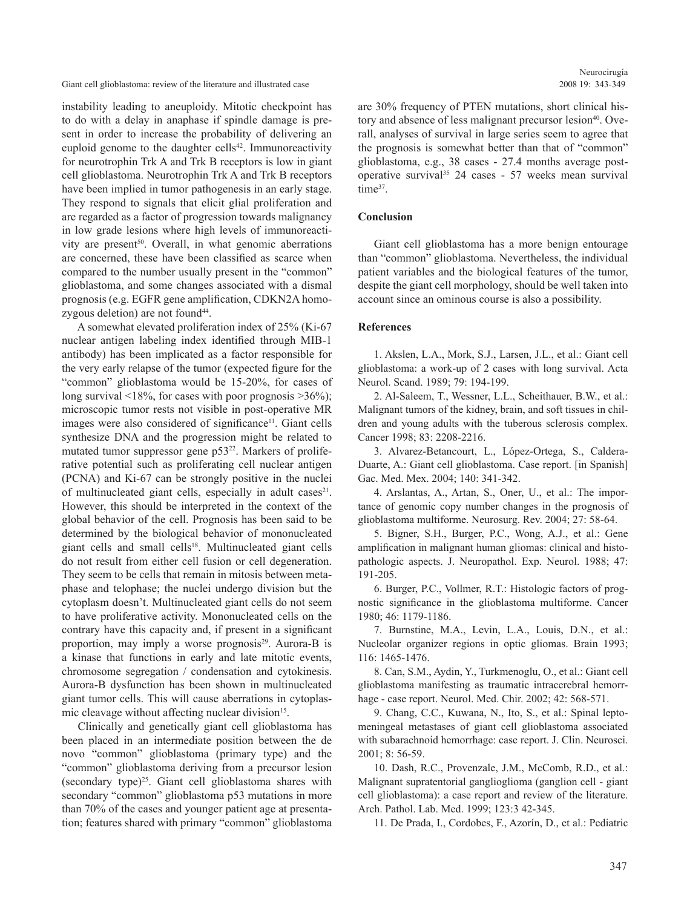Giant cell glioblastoma: review of the literature and illustrated case 2008 19: 343-349

instability leading to aneuploidy. Mitotic checkpoint has to do with a delay in anaphase if spindle damage is present in order to increase the probability of delivering an euploid genome to the daughter cells<sup>42</sup>. Immunoreactivity for neurotrophin Trk A and Trk B receptors is low in giant cell glioblastoma. Neurotrophin Trk A and Trk B receptors have been implied in tumor pathogenesis in an early stage. They respond to signals that elicit glial proliferation and are regarded as a factor of progression towards malignancy in low grade lesions where high levels of immunoreactivity are present<sup>50</sup>. Overall, in what genomic aberrations are concerned, these have been classified as scarce when compared to the number usually present in the "common" glioblastoma, and some changes associated with a dismal prognosis (e.g. EGFR gene amplification, CDKN2A homozygous deletion) are not found<sup>44</sup>.

 A somewhat elevated proliferation index of 25% (Ki-67 nuclear antigen labeling index identified through MIB-1 antibody) has been implicated as a factor responsible for the very early relapse of the tumor (expected figure for the "common" glioblastoma would be 15-20%, for cases of long survival  $\leq 18\%$ , for cases with poor prognosis  $\geq 36\%$ ); microscopic tumor rests not visible in post-operative MR images were also considered of significance<sup>11</sup>. Giant cells synthesize DNA and the progression might be related to mutated tumor suppressor gene  $p53^{22}$ . Markers of proliferative potential such as proliferating cell nuclear antigen (PCNA) and Ki-67 can be strongly positive in the nuclei of multinucleated giant cells, especially in adult cases<sup>21</sup>. However, this should be interpreted in the context of the global behavior of the cell. Prognosis has been said to be determined by the biological behavior of mononucleated giant cells and small cells<sup>18</sup>. Multinucleated giant cells do not result from either cell fusion or cell degeneration. They seem to be cells that remain in mitosis between metaphase and telophase; the nuclei undergo division but the cytoplasm doesn't. Multinucleated giant cells do not seem to have proliferative activity. Mononucleated cells on the contrary have this capacity and, if present in a significant proportion, may imply a worse prognosis<sup>29</sup>. Aurora-B is a kinase that functions in early and late mitotic events, chromosome segregation / condensation and cytokinesis. Aurora-B dysfunction has been shown in multinucleated giant tumor cells. This will cause aberrations in cytoplasmic cleavage without affecting nuclear division<sup>15</sup>.

 Clinically and genetically giant cell glioblastoma has been placed in an intermediate position between the de novo "common" glioblastoma (primary type) and the "common" glioblastoma deriving from a precursor lesion (secondary type)<sup>25</sup>. Giant cell glioblastoma shares with secondary "common" glioblastoma p53 mutations in more than 70% of the cases and younger patient age at presentation; features shared with primary "common" glioblastoma are 30% frequency of PTEN mutations, short clinical history and absence of less malignant precursor lesion<sup>40</sup>. Overall, analyses of survival in large series seem to agree that the prognosis is somewhat better than that of "common" glioblastoma, e.g., 38 cases - 27.4 months average postoperative survival<sup>35</sup> 24 cases - 57 weeks mean survival time<sup>37</sup>.

#### **Conclusion**

 Giant cell glioblastoma has a more benign entourage than "common" glioblastoma. Nevertheless, the individual patient variables and the biological features of the tumor, despite the giant cell morphology, should be well taken into account since an ominous course is also a possibility.

### **References**

 1. Akslen, L.A., Mork, S.J., Larsen, J.L., et al.: Giant cell glioblastoma: a work-up of 2 cases with long survival. Acta Neurol. Scand. 1989; 79: 194-199.

 2. Al-Saleem, T., Wessner, L.L., Scheithauer, B.W., et al.: Malignant tumors of the kidney, brain, and soft tissues in children and young adults with the tuberous sclerosis complex. Cancer 1998; 83: 2208-2216.

 3. Alvarez-Betancourt, L., López-Ortega, S., Caldera-Duarte, A.: Giant cell glioblastoma. Case report. [in Spanish] Gac. Med. Mex. 2004; 140: 341-342.

 4. Arslantas, A., Artan, S., Oner, U., et al.: The importance of genomic copy number changes in the prognosis of glioblastoma multiforme. Neurosurg. Rev. 2004; 27: 58-64.

 5. Bigner, S.H., Burger, P.C., Wong, A.J., et al.: Gene amplification in malignant human gliomas: clinical and histopathologic aspects. J. Neuropathol. Exp. Neurol. 1988; 47: 191-205.

 6. Burger, P.C., Vollmer, R.T.: Histologic factors of prognostic significance in the glioblastoma multiforme. Cancer 1980; 46: 1179-1186.

 7. Burnstine, M.A., Levin, L.A., Louis, D.N., et al.: Nucleolar organizer regions in optic gliomas. Brain 1993; 116: 1465-1476.

 8. Can, S.M., Aydin, Y., Turkmenoglu, O., et al.: Giant cell glioblastoma manifesting as traumatic intracerebral hemorrhage - case report. Neurol. Med. Chir. 2002; 42: 568-571.

 9. Chang, C.C., Kuwana, N., Ito, S., et al.: Spinal leptomeningeal metastases of giant cell glioblastoma associated with subarachnoid hemorrhage: case report. J. Clin. Neurosci. 2001; 8: 56-59.

 10. Dash, R.C., Provenzale, J.M., McComb, R.D., et al.: Malignant supratentorial ganglioglioma (ganglion cell - giant cell glioblastoma): a case report and review of the literature. Arch. Pathol. Lab. Med. 1999; 123:3 42-345.

11. De Prada, I., Cordobes, F., Azorín, D., et al.: Pediatric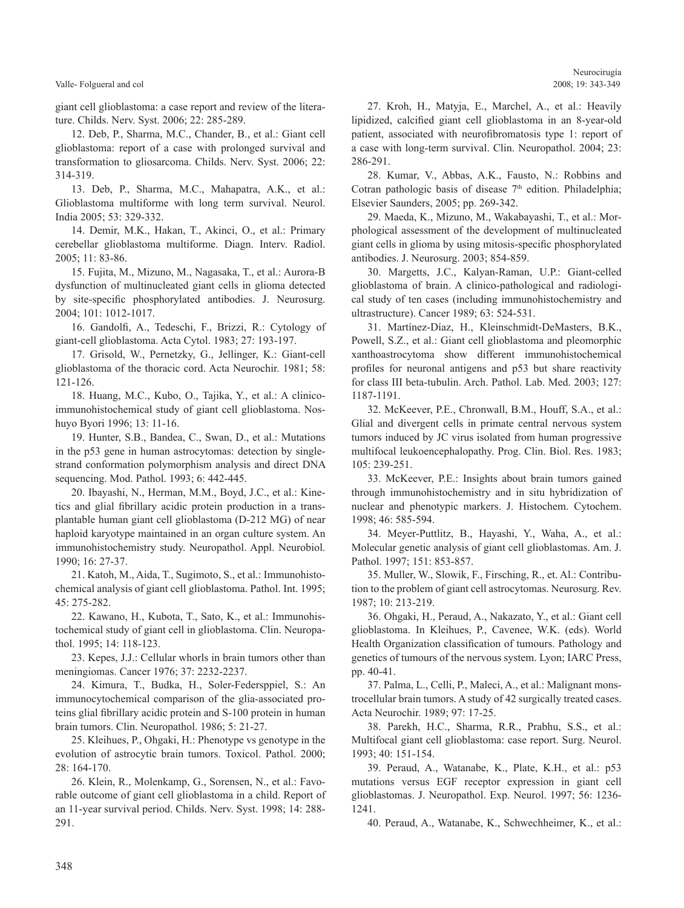#### Valle- Folgueral and col

giant cell glioblastoma: a case report and review of the literature. Childs. Nerv. Syst. 2006; 22: 285-289.

 12. Deb, P., Sharma, M.C., Chander, B., et al.: Giant cell glioblastoma: report of a case with prolonged survival and transformation to gliosarcoma. Childs. Nerv. Syst. 2006; 22: 314-319.

 13. Deb, P., Sharma, M.C., Mahapatra, A.K., et al.: Glioblastoma multiforme with long term survival. Neurol. India 2005; 53: 329-332.

 14. Demir, M.K., Hakan, T., Akinci, O., et al.: Primary cerebellar glioblastoma multiforme. Diagn. Interv. Radiol. 2005; 11: 83-86.

 15. Fujita, M., Mizuno, M., Nagasaka, T., et al.: Aurora-B dysfunction of multinucleated giant cells in glioma detected by site-specific phosphorylated antibodies. J. Neurosurg. 2004; 101: 1012-1017.

 16. Gandolfi, A., Tedeschi, F., Brizzi, R.: Cytology of giant-cell glioblastoma. Acta Cytol. 1983; 27: 193-197.

 17. Grisold, W., Pernetzky, G., Jellinger, K.: Giant-cell glioblastoma of the thoracic cord. Acta Neurochir. 1981; 58: 121-126.

 18. Huang, M.C., Kubo, O., Tajika, Y., et al.: A clinicoimmunohistochemical study of giant cell glioblastoma. Noshuyo Byori 1996; 13: 11-16.

 19. Hunter, S.B., Bandea, C., Swan, D., et al.: Mutations in the p53 gene in human astrocytomas: detection by singlestrand conformation polymorphism analysis and direct DNA sequencing. Mod. Pathol. 1993; 6: 442-445.

 20. Ibayashi, N., Herman, M.M., Boyd, J.C., et al.: Kinetics and glial fibrillary acidic protein production in a transplantable human giant cell glioblastoma (D-212 MG) of near haploid karyotype maintained in an organ culture system. An immunohistochemistry study. Neuropathol. Appl. Neurobiol. 1990; 16: 27-37.

 21. Katoh, M., Aida, T., Sugimoto, S., et al.: Immunohistochemical analysis of giant cell glioblastoma. Pathol. Int. 1995; 45: 275-282.

 22. Kawano, H., Kubota, T., Sato, K., et al.: Immunohistochemical study of giant cell in glioblastoma. Clin. Neuropathol. 1995; 14: 118-123.

 23. Kepes, J.J.: Cellular whorls in brain tumors other than meningiomas. Cancer 1976; 37: 2232-2237.

 24. Kimura, T., Budka, H., Soler-Federsppiel, S.: An immunocytochemical comparison of the glia-associated proteins glial fibrillary acidic protein and S-100 protein in human brain tumors. Clin. Neuropathol. 1986; 5: 21-27.

 25. Kleihues, P., Ohgaki, H.: Phenotype vs genotype in the evolution of astrocytic brain tumors. Toxicol. Pathol. 2000; 28: 164-170.

 26. Klein, R., Molenkamp, G., Sorensen, N., et al.: Favorable outcome of giant cell glioblastoma in a child. Report of an 11-year survival period. Childs. Nerv. Syst. 1998; 14: 288- 291.

 27. Kroh, H., Matyja, E., Marchel, A., et al.: Heavily lipidized, calcified giant cell glioblastoma in an 8-year-old patient, associated with neurofibromatosis type 1: report of a case with long-term survival. Clin. Neuropathol. 2004; 23: 286-291.

 28. Kumar, V., Abbas, A.K., Fausto, N.: Robbins and Cotran pathologic basis of disease  $7<sup>th</sup>$  edition. Philadelphia; Elsevier Saunders, 2005; pp. 269-342.

 29. Maeda, K., Mizuno, M., Wakabayashi, T., et al.: Morphological assessment of the development of multinucleated giant cells in glioma by using mitosis-specific phosphorylated antibodies. J. Neurosurg. 2003; 854-859.

 30. Margetts, J.C., Kalyan-Raman, U.P.: Giant-celled glioblastoma of brain. A clinico-pathological and radiological study of ten cases (including immunohistochemistry and ultrastructure). Cancer 1989; 63: 524-531.

 31. Martínez-Díaz, H., Kleinschmidt-DeMasters, B.K., Powell, S.Z., et al.: Giant cell glioblastoma and pleomorphic xanthoastrocytoma show different immunohistochemical profiles for neuronal antigens and p53 but share reactivity for class III beta-tubulin. Arch. Pathol. Lab. Med. 2003; 127: 1187-1191.

 32. McKeever, P.E., Chronwall, B.M., Houff, S.A., et al.: Glial and divergent cells in primate central nervous system tumors induced by JC virus isolated from human progressive multifocal leukoencephalopathy. Prog. Clin. Biol. Res. 1983; 105: 239-251.

 33. McKeever, P.E.: Insights about brain tumors gained through immunohistochemistry and in situ hybridization of nuclear and phenotypic markers. J. Histochem. Cytochem. 1998; 46: 585-594.

 34. Meyer-Puttlitz, B., Hayashi, Y., Waha, A., et al.: Molecular genetic analysis of giant cell glioblastomas. Am. J. Pathol. 1997; 151: 853-857.

 35. Muller, W., Slowik, F., Firsching, R., et. Al.: Contribution to the problem of giant cell astrocytomas. Neurosurg. Rev. 1987; 10: 213-219.

 36. Ohgaki, H., Peraud, A., Nakazato, Y., et al.: Giant cell glioblastoma. In Kleihues, P., Cavenee, W.K. (eds). World Health Organization classification of tumours. Pathology and genetics of tumours of the nervous system. Lyon; IARC Press, pp. 40-41.

 37. Palma, L., Celli, P., Maleci, A., et al.: Malignant monstrocellular brain tumors. A study of 42 surgically treated cases. Acta Neurochir. 1989; 97: 17-25.

 38. Parekh, H.C., Sharma, R.R., Prabhu, S.S., et al.: Multifocal giant cell glioblastoma: case report. Surg. Neurol. 1993; 40: 151-154.

 39. Peraud, A., Watanabe, K., Plate, K.H., et al.: p53 mutations versus EGF receptor expression in giant cell glioblastomas. J. Neuropathol. Exp. Neurol. 1997; 56: 1236- 1241.

40. Peraud, A., Watanabe, K., Schwechheimer, K., et al.: